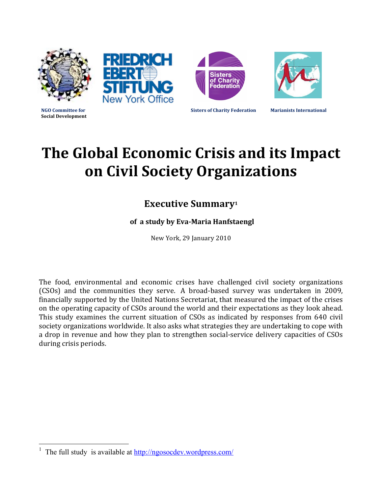

# **The Global Economic Crisis and its Impact on Civil Society Organizations**

# **Executive Summary<sup>1</sup>**

## of a study by Eva-Maria Hanfstaengl

New York, 29 January 2010

The food, environmental and economic crises have challenged civil society organizations (CSOs) and the communities they serve. A broad-based survey was undertaken in 2009, financially supported by the United Nations Secretariat, that measured the impact of the crises on the operating capacity of CSOs around the world and their expectations as they look ahead. This study examines the current situation of CSOs as indicated by responses from 640 civil society organizations worldwide. It also asks what strategies they are undertaking to cope with a drop in revenue and how they plan to strengthen social-service delivery capacities of CSOs during crisis periods.

 $\frac{1}{1}$ The full study is available at http://ngosocdev.wordpress.com/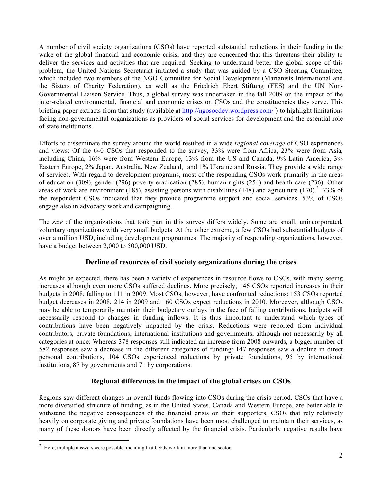A number of civil society organizations (CSOs) have reported substantial reductions in their funding in the wake of the global financial and economic crisis, and they are concerned that this threatens their ability to deliver the services and activities that are required. Seeking to understand better the global scope of this problem, the United Nations Secretariat initiated a study that was guided by a CSO Steering Committee, which included two members of the NGO Committee for Social Development (Marianists International and the Sisters of Charity Federation), as well as the Friedrich Ebert Stiftung (FES) and the UN Non-Governmental Liaison Service. Thus, a global survey was undertaken in the fall 2009 on the impact of the inter-related environmental, financial and economic crises on CSOs and the constituencies they serve. This briefing paper extracts from that study (available at http://ngosocdev.wordpress.com/) to highlight limitations facing non-governmental organizations as providers of social services for development and the essential role of state institutions.

Efforts to disseminate the survey around the world resulted in a wide *regional coverage* of CSO experiences and views: Of the 640 CSOs that responded to the survey, 33% were from Africa, 23% were from Asia, including China, 16% were from Western Europe, 13% from the US and Canada, 9% Latin America, 3% Eastern Europe, 2% Japan, Australia, New Zealand, and 1% Ukraine and Russia. They provide a wide range of services. With regard to development programs, most of the responding CSOs work primarily in the areas of education (309), gender (296) poverty eradication (285), human rights (254) and health care (236). Other areas of work are environment (185), assisting persons with disabilities (148) and agriculture (170).<sup>2</sup> 73% of the respondent CSOs indicated that they provide programme support and social services. 53% of CSOs engage also in advocacy work and campaigning.

The *size* of the organizations that took part in this survey differs widely. Some are small, unincorporated, voluntary organizations with very small budgets. At the other extreme, a few CSOs had substantial budgets of over a million USD, including development programmes. The majority of responding organizations, however, have a budget between 2,000 to 500,000 USD.

#### **Decline of resources of civil society organizations during the crises**

As might be expected, there has been a variety of experiences in resource flows to CSOs, with many seeing increases although even more CSOs suffered declines. More precisely, 146 CSOs reported increases in their budgets in 2008, falling to 111 in 2009. Most CSOs, however, have confronted reductions: 153 CSOs reported budget decreases in 2008, 214 in 2009 and 160 CSOs expect reductions in 2010. Moreover, although CSOs may be able to temporarily maintain their budgetary outlays in the face of falling contributions, budgets will necessarily respond to changes in funding inflows. It is thus important to understand which types of contributions have been negatively impacted by the crisis. Reductions were reported from individual contributors, private foundations, international institutions and governments, although not necessarily by all categories at once: Whereas 378 responses still indicated an increase from 2008 onwards, a bigger number of 582 responses saw a decrease in the different categories of funding: 147 responses saw a decline in direct personal contributions, 104 CSOs experienced reductions by private foundations, 95 by international institutions, 87 by governments and 71 by corporations.

#### **Regional differences in the impact of the global crises on CSOs**

Regions saw different changes in overall funds flowing into CSOs during the crisis period. CSOs that have a more diversified structure of funding, as in the United States, Canada and Western Europe, are better able to withstand the negative consequences of the financial crisis on their supporters. CSOs that rely relatively heavily on corporate giving and private foundations have been most challenged to maintain their services, as many of these donors have been directly affected by the financial crisis. Particularly negative results have

 $\frac{1}{2}$  $\frac{2}{1}$  Here, multiple answers were possible, meaning that CSOs work in more than one sector.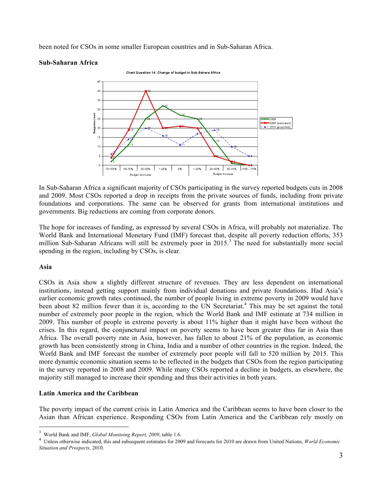been noted for CSOs in some smaller European countries and in Sub-Saharan Africa.





In Sub-Saharan Africa a significant majority of CSOs participating in the survey reported budgets cuts in 2008 and 2009. Most CSOs reported a drop in receipts from the private sources of funds, including from private foundations and corporations. The same can be observed for grants from international institutions and governments. Big reductions are coming from corporate donors.

The hope for increases of funding, as expressed by several CSOs in Africa, will probably not materialize. The World Bank and International Monetary Fund (IMF) forecast that, despite all poverty reduction efforts, 353 million Sub-Saharan Africans will still be extremely poor in 2015.<sup>3</sup> The need for substantially more social spending in the region, including by CSOs, is clear.

#### **Asia**

CSOs in Asia show a slightly different structure of revenues. They are less dependent on international institutions, instead getting support mainly from individual donations and private foundations. Had Asia's earlier economic growth rates continued, the number of people living in extreme poverty in 2009 would have been about 82 million fewer than it is, according to the UN Secretariat.<sup>4</sup> This may be set against the total number of extremely poor people in the region, which the World Bank and IMF estimate at 734 million in 2009. This number of people in extreme poverty is about 11% higher than it might have been without the crises. In this regard, the conjunctural impact on poverty seems to have been greater thus far in Asia than Africa. The overall poverty rate in Asia, however, has fallen to about 21% of the population, as economic growth has been consistently strong in China, India and a number of other countries in the region. Indeed, the World Bank and IMF forecast the number of extremely poor people will fall to 520 million by 2015. This more dynamic economic situation seems to be reflected in the budgets that CSOs from the region participating in the survey reported in 2008 and 2009. While many CSOs reported a decline in budgets, as elsewhere, the majority still managed to increase their spending and thus their activities in both years.

#### **Latin America and the Caribbean**

The poverty impact of the current crisis in Latin America and the Caribbean seems to have been closer to the Asian than African experience. Responding CSOs from Latin America and the Caribbean rely mostly on

 <sup>3</sup> World Bank and IMF, *Global Monitoing Report, 2009*, table 1.6.

<sup>4</sup> Unless otherwise indicated, this and subsequent estimates for 2009 and forecasts for 2010 are drawn from United Nations, *World Economic Situation and Prospects,* 2010.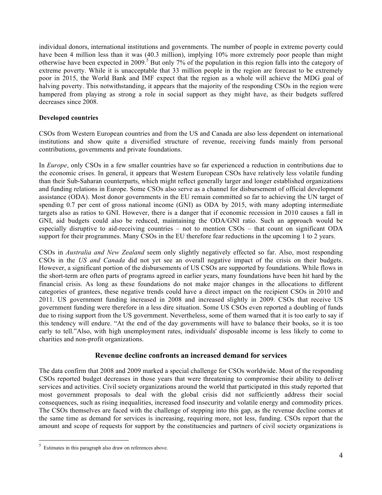individual donors, international institutions and governments. The number of people in extreme poverty could have been 4 million less than it was (40.3 million), implying 10% more extremely poor people than might otherwise have been expected in 2009.<sup>5</sup> But only 7% of the population in this region falls into the category of extreme poverty. While it is unacceptable that 33 million people in the region are forecast to be extremely poor in 2015, the World Bank and IMF expect that the region as a whole will achieve the MDG goal of halving poverty. This notwithstanding, it appears that the majority of the responding CSOs in the region were hampered from playing as strong a role in social support as they might have, as their budgets suffered decreases since 2008.

#### **Developed countries**

CSOs from Western European countries and from the US and Canada are also less dependent on international institutions and show quite a diversified structure of revenue, receiving funds mainly from personal contributions, governments and private foundations.

In *Europe*, only CSOs in a few smaller countries have so far experienced a reduction in contributions due to the economic crises. In general, it appears that Western European CSOs have relatively less volatile funding than their Sub-Saharan counterparts, which might reflect generally larger and longer established organizations and funding relations in Europe. Some CSOs also serve as a channel for disbursement of official development assistance (ODA). Most donor governments in the EU remain committed so far to achieving the UN target of spending 0.7 per cent of gross national income (GNI) as ODA by 2015, with many adopting intermediate targets also as ratios to GNI. However, there is a danger that if economic recession in 2010 causes a fall in GNI, aid budgets could also be reduced, maintaining the ODA/GNI ratio. Such an approach would be especially disruptive to aid-receiving countries – not to mention CSOs – that count on significant ODA support for their programmes. Many CSOs in the EU therefore fear reductions in the upcoming 1 to 2 years.

CSOs in *Australia and New Zealand* seem only slightly negatively effected so far. Also, most responding CSOs in the *US and Canada* did not yet see an overall negative impact of the crisis on their budgets. However, a significant portion of the disbursements of US CSOs are supported by foundations. While flows in the short-term are often parts of programs agreed in earlier years, many foundations have been hit hard by the financial crisis. As long as these foundations do not make major changes in the allocations to different categories of grantees, these negative trends could have a direct impact on the recipient CSOs in 2010 and 2011. US government funding increased in 2008 and increased slightly in 2009. CSOs that receive US government funding were therefore in a less dire situation. Some US CSOs even reported a doubling of funds due to rising support from the US government. Nevertheless, some of them warned that it is too early to say if this tendency will endure. "At the end of the day governments will have to balance their books, so it is too early to tell."Also, with high unemployment rates, individuals' disposable income is less likely to come to charities and non-profit organizations.

#### **Revenue decline confronts an increased demand for services**

The data confirm that 2008 and 2009 marked a special challenge for CSOs worldwide. Most of the responding CSOs reported budget decreases in those years that were threatening to compromise their ability to deliver services and activities. Civil society organizations around the world that participated in this study reported that most government proposals to deal with the global crisis did not sufficiently address their social consequences, such as rising inequalities, increased food insecurity and volatile energy and commodity prices. The CSOs themselves are faced with the challenge of stepping into this gap, as the revenue decline comes at the same time as demand for services is increasing, requiring more, not less, funding. CSOs report that the amount and scope of requests for support by the constituencies and partners of civil society organizations is

 $\frac{1}{5}$  $5$  Estimates in this paragraph also draw on references above.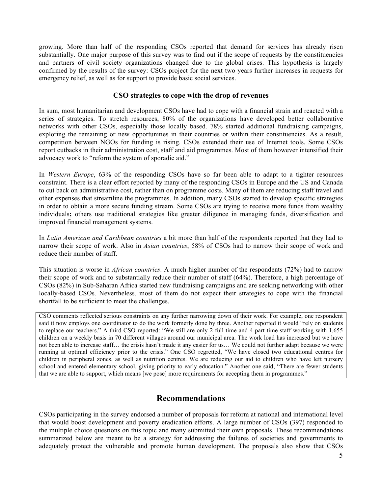growing. More than half of the responding CSOs reported that demand for services has already risen substantially. One major purpose of this survey was to find out if the scope of requests by the constituencies and partners of civil society organizations changed due to the global crises. This hypothesis is largely confirmed by the results of the survey: CSOs project for the next two years further increases in requests for emergency relief, as well as for support to provide basic social services.

#### **CSO strategies to cope with the drop of revenues**

In sum, most humanitarian and development CSOs have had to cope with a financial strain and reacted with a series of strategies. To stretch resources, 80% of the organizations have developed better collaborative networks with other CSOs, especially those locally based. 78% started additional fundraising campaigns, exploring the remaining or new opportunities in their countries or within their constituencies. As a result, competition between NGOs for funding is rising. CSOs extended their use of Internet tools. Some CSOs report cutbacks in their administration cost, staff and aid programmes. Most of them however intensified their advocacy work to "reform the system of sporadic aid."

In *Western Europe*, 63% of the responding CSOs have so far been able to adapt to a tighter resources constraint. There is a clear effort reported by many of the responding CSOs in Europe and the US and Canada to cut back on administrative cost, rather than on programme costs. Many of them are reducing staff travel and other expenses that streamline the programmes. In addition, many CSOs started to develop specific strategies in order to obtain a more secure funding stream. Some CSOs are trying to receive more funds from wealthy individuals**;** others use traditional strategies like greater diligence in managing funds, diversification and improved financial management systems.

In *Latin American and Caribbean countries* a bit more than half of the respondents reported that they had to narrow their scope of work. Also in *Asian countries*, 58% of CSOs had to narrow their scope of work and reduce their number of staff.

This situation is worse in *African countries*. A much higher number of the respondents (72%) had to narrow their scope of work and to substantially reduce their number of staff (64%). Therefore, a high percentage of CSOs (82%) in Sub-Saharan Africa started new fundraising campaigns and are seeking networking with other locally-based CSOs. Nevertheless, most of them do not expect their strategies to cope with the financial shortfall to be sufficient to meet the challenges.

CSO comments reflected serious constraints on any further narrowing down of their work. For example, one respondent said it now employs one coordinator to do the work formerly done by three. Another reported it would "rely on students to replace our teachers." A third CSO reported: "We still are only 2 full time and 4 part time staff working with 1,655 children on a weekly basis in 70 different villages around our municipal area. The work load has increased but we have not been able to increase staff… the crisis hasn't made it any easier for us… We could not further adapt because we were running at optimal efficiency prior to the crisis." One CSO regretted, "We have closed two educational centres for children in peripheral zones, as well as nutrition centres. We are reducing our aid to children who have left nursery school and entered elementary school, giving priority to early education." Another one said, "There are fewer students that we are able to support, which means [we pose] more requirements for accepting them in programmes."

### **Recommendations**

CSOs participating in the survey endorsed a number of proposals for reform at national and international level that would boost development and poverty eradication efforts. A large number of CSOs (397) responded to the multiple choice questions on this topic and many submitted their own proposals. These recommendations summarized below are meant to be a strategy for addressing the failures of societies and governments to adequately protect the vulnerable and promote human development. The proposals also show that CSOs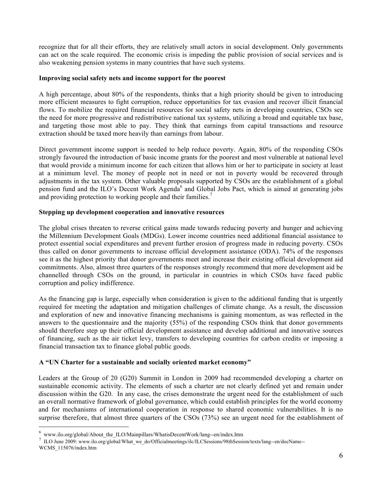recognize that for all their efforts, they are relatively small actors in social development. Only governments can act on the scale required. The economic crisis is impeding the public provision of social services and is also weakening pension systems in many countries that have such systems.

#### **Improving social safety nets and income support for the poorest**

A high percentage, about 80% of the respondents, thinks that a high priority should be given to introducing more efficient measures to fight corruption, reduce opportunities for tax evasion and recover illicit financial flows. To mobilize the required financial resources for social safety nets in developing countries, CSOs see the need for more progressive and redistributive national tax systems, utilizing a broad and equitable tax base, and targeting those most able to pay. They think that earnings from capital transactions and resource extraction should be taxed more heavily than earnings from labour.

Direct government income support is needed to help reduce poverty. Again, 80% of the responding CSOs strongly favoured the introduction of basic income grants for the poorest and most vulnerable at national level that would provide a minimum income for each citizen that allows him or her to participate in society at least at a minimum level. The money of people not in need or not in poverty would be recovered through adjustments in the tax system. Other valuable proposals supported by CSOs are the establishment of a global pension fund and the ILO's Decent Work Agenda<sup>6</sup> and Global Jobs Pact, which is aimed at generating jobs and providing protection to working people and their families.<sup>7</sup>

#### **Stepping up development cooperation and innovative resources**

The global crises threaten to reverse critical gains made towards reducing poverty and hunger and achieving the Millennium Development Goals (MDGs). Lower income countries need additional financial assistance to protect essential social expenditures and prevent further erosion of progress made in reducing poverty. CSOs thus called on donor governments to increase official development assistance (ODA). 74% of the responses see it as the highest priority that donor governments meet and increase their existing official development aid commitments. Also, almost three quarters of the responses strongly recommend that more development aid be channelled through CSOs on the ground, in particular in countries in which CSOs have faced public corruption and policy indifference.

As the financing gap is large, especially when consideration is given to the additional funding that is urgently required for meeting the adaptation and mitigation challenges of climate change. As a result, the discussion and exploration of new and innovative financing mechanisms is gaining momentum, as was reflected in the answers to the questionnaire and the majority (55%) of the responding CSOs think that donor governments should therefore step up their official development assistance and develop additional and innovative sources of financing, such as the air ticket levy, transfers to developing countries for carbon credits or imposing a financial transaction tax to finance global public goods.

#### **A "UN Charter for a sustainable and socially oriented market economy"**

Leaders at the Group of 20 (G20) Summit in London in 2009 had recommended developing a charter on sustainable economic activity. The elements of such a charter are not clearly defined yet and remain under discussion within the G20. In any case, the crises demonstrate the urgent need for the establishment of such an overall normative framework of global governance, which could establish principles for the world economy and for mechanisms of international cooperation in response to shared economic vulnerabilities. It is no surprise therefore, that almost three quarters of the CSOs (73%) see an urgent need for the establishment of

 <sup>6</sup>  $6$ www.ilo.org/global/About\_the\_ILO/Mainpillars/WhatisDecentWork/lang--en/index.htm

<sup>&</sup>lt;sup>7</sup> ILO June 2009: www.ilo.org/global/What\_we\_do/Officialmeetings/ilc/ILCSessions/98thSession/texts/lang--en/docName--WCMS\_115076/index.htm